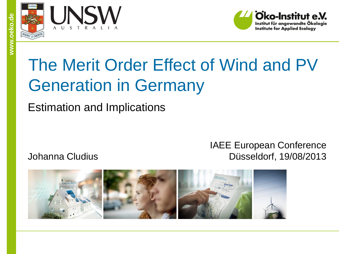

**www.oeko.de**





# The Merit Order Effect of Wind and PV Generation in Germany

Estimation and Implications

Johanna Cludius

#### IAEE European Conference Düsseldorf, 19/08/2013

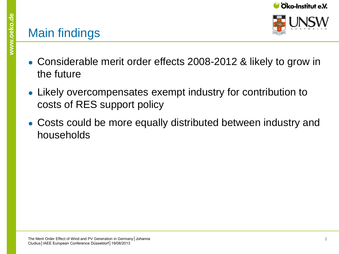#### Main findings

- Considerable merit order effects 2008-2012 & likely to grow in the future
- Likely overcompensates exempt industry for contribution to costs of RES support policy
- Costs could be more equally distributed between industry and households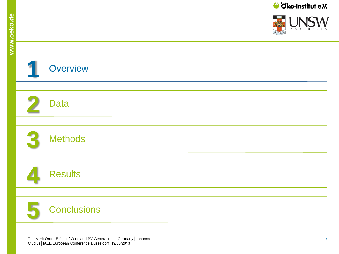**S** STRATES

INICIA/

| Overview                                                                                                                                 |
|------------------------------------------------------------------------------------------------------------------------------------------|
|                                                                                                                                          |
| <b>Data</b>                                                                                                                              |
|                                                                                                                                          |
| <b>Methods</b>                                                                                                                           |
|                                                                                                                                          |
| <b>Results</b>                                                                                                                           |
|                                                                                                                                          |
| <b>Conclusions</b>                                                                                                                       |
|                                                                                                                                          |
| The Merit Order Effect of Wind and PV Generation in Germany   Johanna<br>3<br>Cludius   IAEE European Conference Düsseldorf   19/08/2013 |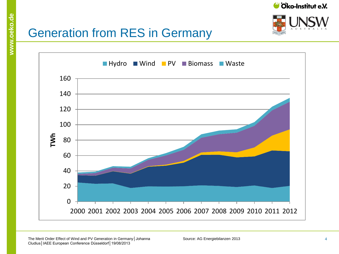



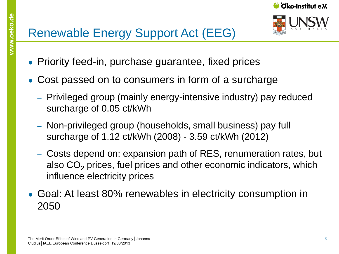

- **www.oeko.de** • Priority feed-in, purchase guarantee, fixed prices
	- Cost passed on to consumers in form of a surcharge
		- ‒ Privileged group (mainly energy-intensive industry) pay reduced surcharge of 0.05 ct/kWh
		- ‒ Non-privileged group (households, small business) pay full surcharge of 1.12 ct/kWh (2008) - 3.59 ct/kWh (2012)
		- ‒ Costs depend on: expansion path of RES, renumeration rates, but also  $CO<sub>2</sub>$  prices, fuel prices and other economic indicators, which influence electricity prices
	- Goal: At least 80% renewables in electricity consumption in 2050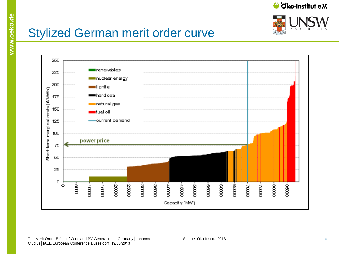



#### Stylized German merit order curve

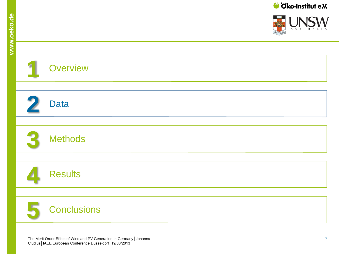$\frac{1}{2}$  and  $\frac{1}{2}$ 

INICIA/

|            | Overview                                                                                                                                              |
|------------|-------------------------------------------------------------------------------------------------------------------------------------------------------|
|            |                                                                                                                                                       |
| $\sqrt{2}$ | <b>Data</b>                                                                                                                                           |
|            |                                                                                                                                                       |
|            | <b>Methods</b>                                                                                                                                        |
|            |                                                                                                                                                       |
|            | <b>Results</b>                                                                                                                                        |
|            |                                                                                                                                                       |
|            | <b>Conclusions</b>                                                                                                                                    |
|            |                                                                                                                                                       |
|            | The Merit Order Effect of Wind and PV Generation in Germany   Johanna<br>$\overline{7}$<br>Cludius   IAEE European Conference Düsseldorf   19/08/2013 |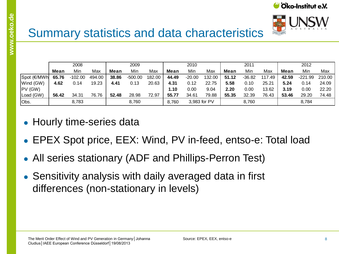

|             | 2008        |           |        | 2009  |           | 2010   |       | 2011     |              |       | 2012     |        |       |           |        |
|-------------|-------------|-----------|--------|-------|-----------|--------|-------|----------|--------------|-------|----------|--------|-------|-----------|--------|
|             | <b>Mean</b> | Min       | Max    | Mean  | Min       | Max    | Mean  | Min      | Max          | Mean  | Min      | Max    | Mean  | Min       | Max    |
| Spot (€/MWh | 65.76       | $-102.00$ | 494.00 | 38.86 | $-500.00$ | 182.00 | 44.49 | $-20.00$ | 132.00       | 51.12 | $-36.82$ | 117.49 | 42.59 | $-221.99$ | 210.00 |
| Wind (GW)   | 4.62        | 0.14      | 19.23  | 4.41  | 0.13      | 20.63  | 4.31  | 0.12     | 22.75        | 5.58  | 0.10     | 25.21  | 5.24  | 0.14      | 24.09  |
| $PV$ (GW)   |             |           |        |       |           |        | 1.10  | 0.00     | 9.04         | 2.20  | 0.00     | 13.62  | 3.19  | 0.00      | 22.20  |
| Load (GW)   | 56.42       | 34.31     | 76.76  | 52.48 | 28.98     | 72.97  | 55.77 | 34.61    | 79.88        | 55.35 | 32.39    | 76.43  | 53.46 | 29.20     | 74.48  |
| Obs.        |             | 8,783     |        |       | 8,760     |        | 8.760 |          | 3,983 for PV |       | 8,760    |        |       | 8.784     |        |

• Hourly time-series data

- EPEX Spot price, EEX: Wind, PV in-feed, entso-e: Total load
- All series stationary (ADF and Phillips-Perron Test)
- Sensitivity analysis with daily averaged data in first differences (non-stationary in levels)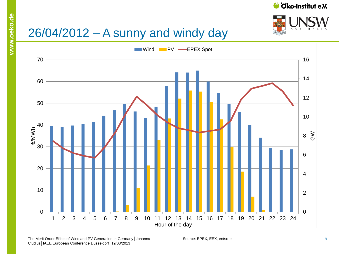



# 26/04/2012 – A sunny and windy day

**www.oeko.de**



The Merit Order Effect of Wind and PV Generation in Germany | Johanna Source: EPEX, EEX, entso-e Cludius│IAEE European Conference Düsseldorf│19/08/2013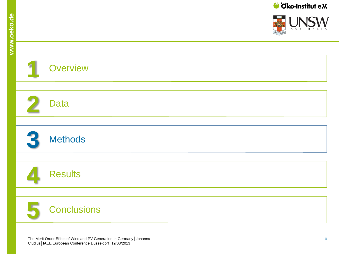a <mark>samur</mark> a l

**INICIA** 

 $\mathsf{I}$  A

| <b>Overview</b>                                                                                                                           |
|-------------------------------------------------------------------------------------------------------------------------------------------|
|                                                                                                                                           |
| <b>Data</b>                                                                                                                               |
|                                                                                                                                           |
| <b>Methods</b>                                                                                                                            |
|                                                                                                                                           |
| <b>Results</b>                                                                                                                            |
|                                                                                                                                           |
| <b>Conclusions</b>                                                                                                                        |
|                                                                                                                                           |
| The Merit Order Effect of Wind and PV Generation in Germany   Johanna<br>10<br>Cludius   IAEE European Conference Düsseldorf   19/08/2013 |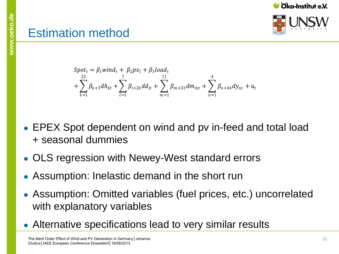

Oko-Institut e.V.

## **Estimation method**

$$
Spott = \beta_1 windt + \beta_2 pvt + \beta_3 loadt + \sum_{k=1}^{23} \beta_{k+3} dhkt + \sum_{l=1}^{7} \beta_{l+26} ddlt + \sum_{m=1}^{11} \beta_{m+33} dmmt + \sum_{n=1}^{4} \beta_{n+44} dynt + ut
$$

- EPEX Spot dependent on wind and pv in-feed and total load + seasonal dummies
- OLS regression with Newey-West standard errors
- Assumption: Inelastic demand in the short run
- Assumption: Omitted variables (fuel prices, etc.) uncorrelated with explanatory variables
- Alternative specifications lead to very similar results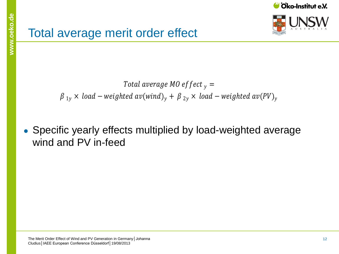

Total average M0 effect  $_{\text{y}}=$  $\beta_{1y}$  × load – weighted av(wind)<sub>y</sub> +  $\beta_{2y}$  × load – weighted av(PV)<sub>y</sub>

• Specific yearly effects multiplied by load-weighted average wind and PV in-feed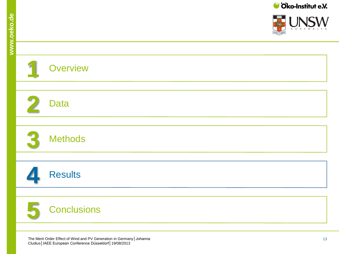**S** STRATES

INICIA/

| Overview                                                                                                                                  |
|-------------------------------------------------------------------------------------------------------------------------------------------|
|                                                                                                                                           |
| <b>Data</b>                                                                                                                               |
|                                                                                                                                           |
| <b>Methods</b>                                                                                                                            |
|                                                                                                                                           |
| <b>Results</b>                                                                                                                            |
|                                                                                                                                           |
| <b>Conclusions</b>                                                                                                                        |
|                                                                                                                                           |
| The Merit Order Effect of Wind and PV Generation in Germany   Johanna<br>13<br>Cludius   IAEE European Conference Düsseldorf   19/08/2013 |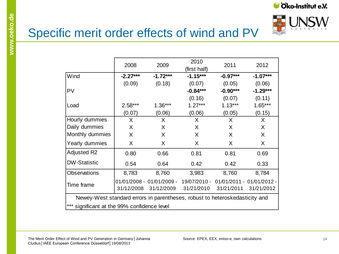



### Specific merit order effects of wind and PV

|                                                                             | 2008       | 2009                      | 2010<br>(first half) | 2011                      | 2012       |  |  |
|-----------------------------------------------------------------------------|------------|---------------------------|----------------------|---------------------------|------------|--|--|
| Wind                                                                        | $-2.27***$ | $-1.72***$                | $-1.15***$           | $-0.97***$                | $-1.07***$ |  |  |
|                                                                             | (0.09)     | (0.18)                    | (0.07)               | (0.05)                    | (0.06)     |  |  |
| PV                                                                          |            |                           | $-0.84***$           | $-0.90***$                | $-1.29***$ |  |  |
|                                                                             |            |                           | (0.16)               | (0.07)                    | (0.11)     |  |  |
| Load                                                                        | $2.58***$  | $1.36***$                 | $1.27***$            | $1.13***$                 | $1.65***$  |  |  |
|                                                                             | (0.07)     | (0.06)                    | (0.06)               | (0.05)                    | (0.15)     |  |  |
| Hourly dummies                                                              | X          | X                         | X                    | X                         | X.         |  |  |
| Daily dummies                                                               | X          | X                         | X                    | X                         | X          |  |  |
| Monthly dummies                                                             | X          | X                         | X                    | X                         | X          |  |  |
| Yearly dummies                                                              | X          | X                         | X.                   | X                         | X          |  |  |
| Adjusted R2                                                                 | 0.80       | 0.66                      | 0.81                 | 0.81                      | 0.69       |  |  |
| <b>DW-Statistic</b>                                                         | 0.54       | 0.64                      | 0.42                 | 0.42                      | 0.33       |  |  |
| <b>Observations</b>                                                         | 8,783      | 8,760                     | 3,983                | 8,760                     | 8,784      |  |  |
| Time frame                                                                  |            | 01/01/2008 - 01/01/2009 - | 19/07/2010 -         | 01/01/2011 - 01/01/2012 - |            |  |  |
|                                                                             | 31/12/2008 | 31/12/2009                | 31/21/2010           | 31/21/2011                | 31/21/2012 |  |  |
| Newey-West standard errors in parentheses, robust to heteroskedasticity and |            |                           |                      |                           |            |  |  |
| *** significant at the 99% confidence level                                 |            |                           |                      |                           |            |  |  |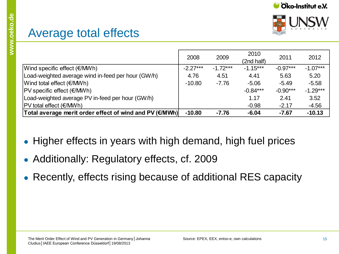



|                                                         | 2008       | 2009       | 2010<br>(2nd half) | 2011       | 2012       |
|---------------------------------------------------------|------------|------------|--------------------|------------|------------|
| Wind specific effect $(\epsilon/MWh)$                   | $-2.27***$ | $-1.72***$ | $-1.15***$         | $-0.97***$ | $-1.07***$ |
| Load-weighted average wind in-feed per hour (GW/h)      | 4.76       | 4.51       | 4.41               | 5.63       | 5.20       |
| Wind total effect (€/MWh)                               | $-10.80$   | $-7.76$    | $-5.06$            | $-5.49$    | $-5.58$    |
| $ PV$ specific effect $(E/MWh)$                         |            |            | $-0.84***$         | $-0.90***$ | $-1.29***$ |
| Load-weighted average PV in-feed per hour (GW/h)        |            |            | 1.17               | 2.41       | 3.52       |
| PV total effect (€/MWh)                                 |            |            | $-0.98$            | $-2.17$    | $-4.56$    |
| Total average merit order effect of wind and PV (€/MWh) | $-10.80$   | $-7.76$    | $-6.04$            | $-7.67$    | $-10.13$   |

- Higher effects in years with high demand, high fuel prices
- Additionally: Regulatory effects, cf. 2009
- Recently, effects rising because of additional RES capacity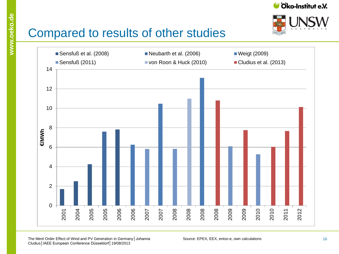



## Compared to results of other studies



The Merit Order Effect of Wind and PV Generation in Germany│Johanna Source: EPEX, EEX, entso-e, own calculations Cludius│IAEE European Conference Düsseldorf│19/08/2013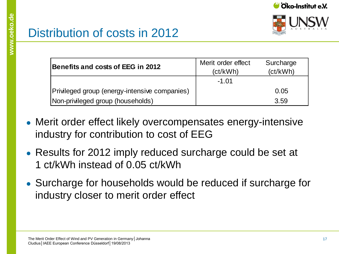

| Benefits and costs of EEG in 2012             | Merit order effect<br>(ct/kWh) | Surcharge<br>(ct/kWh) |  |
|-----------------------------------------------|--------------------------------|-----------------------|--|
|                                               | $-1.01$                        |                       |  |
| Privileged group (energy-intensive companies) |                                | 0.05                  |  |
| Non-privileged group (households)             |                                | 3.59                  |  |
|                                               |                                |                       |  |

- Merit order effect likely overcompensates energy-intensive industry for contribution to cost of EEG
- Results for 2012 imply reduced surcharge could be set at 1 ct/kWh instead of 0.05 ct/kWh
- Surcharge for households would be reduced if surcharge for industry closer to merit order effect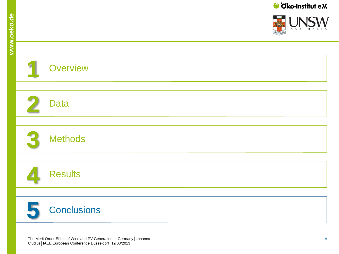a <mark>samur</mark> a l

**INICIA** 

 $\mathsf{I}$  A

| <b>Overview</b>                                                                                                                           |
|-------------------------------------------------------------------------------------------------------------------------------------------|
|                                                                                                                                           |
| <b>Data</b>                                                                                                                               |
|                                                                                                                                           |
| <b>Methods</b>                                                                                                                            |
|                                                                                                                                           |
| <b>Results</b>                                                                                                                            |
|                                                                                                                                           |
| <b>Conclusions</b>                                                                                                                        |
|                                                                                                                                           |
| The Merit Order Effect of Wind and PV Generation in Germany   Johanna<br>18<br>Cludius   IAEE European Conference Düsseldorf   19/08/2013 |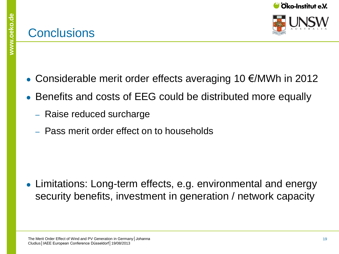#### **Conclusions**



- Considerable merit order effects averaging 10  $\epsilon$ /MWh in 2012
- Benefits and costs of EEG could be distributed more equally
	- ‒ Raise reduced surcharge
	- ‒ Pass merit order effect on to households

• Limitations: Long-term effects, e.g. environmental and energy security benefits, investment in generation / network capacity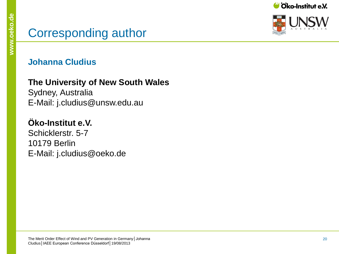#### Corresponding author

#### **Johanna Cludius**

**The University of New South Wales**

Sydney, Australia E-Mail: j.cludius@unsw.edu.au

#### **Öko -Institut e.V.**

Schicklerstr. 5-7 10179 Berlin E-Mail: j.cludius@oeko.de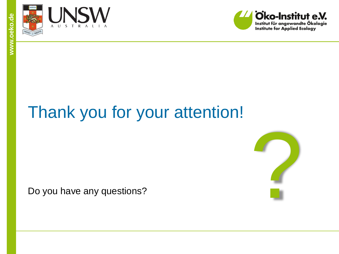



# Thank you for your attention!

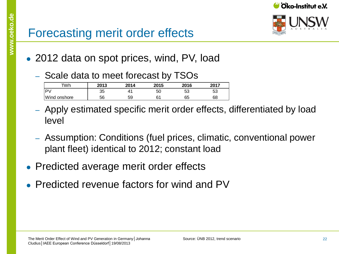

#### Forecasting merit order effects

- 2012 data on spot prices, wind, PV, load
	- ‒ Scale data to meet forecast by TSOs

| Wh           | 2013 | 2014 | 2015    | 2016 | 2017 |
|--------------|------|------|---------|------|------|
| ≀ D∖∶        | 35   |      | 50      | 53   | 53   |
| Wind onshore | 56   | 59   | 21<br>ັ | 65   | 68   |

- ‒ Apply estimated specific merit order effects, differentiated by load level
- ‒ Assumption: Conditions (fuel prices, climatic, conventional power plant fleet) identical to 2012; constant load
- Predicted average merit order effects
- $\bullet$  Predicted revenue factors for wind and PV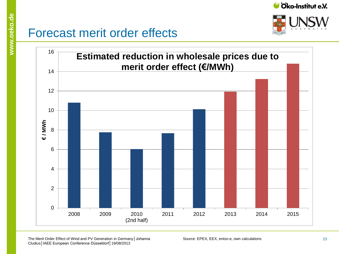



#### Forecast merit order effects



The Merit Order Effect of Wind and PV Generation in Germany│Johanna Source: EPEX, EEX, entso-e, own calculations Cludius│IAEE European Conference Düsseldorf│19/08/2013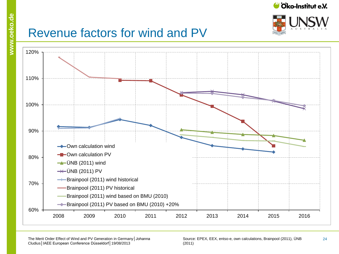

24



#### Revenue factors for wind and PV



Source: EPEX, EEX, entso-e, own calculations, Brainpool (2011), ÜNB (2011)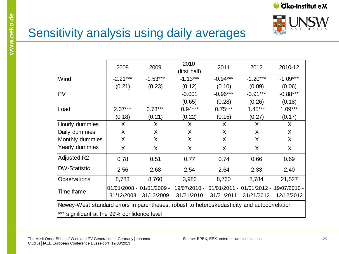



## Sensitivity analysis using daily averages

|                                                                                             | 2008       | 2009                      | 2010<br>(first half) | 2011       | 2012                                   | 2010-12    |  |
|---------------------------------------------------------------------------------------------|------------|---------------------------|----------------------|------------|----------------------------------------|------------|--|
| Wind                                                                                        | $-2.21***$ | $-1.53***$                | $-1.13***$           | $-0.94***$ | $-1.20***$                             | $-1.09***$ |  |
|                                                                                             | (0.21)     | (0.23)                    | (0.12)               | (0.10)     | (0.09)                                 | (0.06)     |  |
| <b>PV</b>                                                                                   |            |                           | $-0.001$             | $-0.96***$ | $-0.91***$                             | $-0.88***$ |  |
|                                                                                             |            |                           | (0.65)               | (0.28)     | (0.26)                                 | (0.18)     |  |
| Load                                                                                        | $2.07***$  | $0.73***$                 | $0.94***$            | $0.75***$  | $1.45***$                              | $1.09***$  |  |
|                                                                                             | (0.18)     | (0.21)                    | (0.22)               | (0.15)     | (0.27)                                 | (0.17)     |  |
| Hourly dummies                                                                              | X          | X                         | X                    | X          | X                                      | X          |  |
| Daily dummies                                                                               | X          | X                         | X                    | X          | X                                      | X          |  |
| Monthly dummies                                                                             | X          | X                         | X                    | X          | X                                      | X          |  |
| Yearly dummies                                                                              | X          | X                         | X                    | X          | X                                      | X          |  |
| <b>Adjusted R2</b>                                                                          | 0.78       | 0.51                      | 0.77                 | 0.74       | 0.66                                   | 0.69       |  |
| <b>DW-Statistic</b>                                                                         | 2.56       | 2.68                      | 2.54                 | 2.64       | 2.33                                   | 2.40       |  |
| <b>Observations</b>                                                                         | 8,783      | 8,760                     | 3,983                | 8,760      | 8,784                                  | 21,527     |  |
|                                                                                             |            | 01/01/2008 - 01/01/2009 - | 19/07/2010 -         |            | 01/01/2011 - 01/01/2012 - 19/07/2010 - |            |  |
| Time frame                                                                                  | 31/12/2008 | 31/12/2009                | 31/21/2010           | 31/21/2011 | 31/21/2012                             | 12/12/2012 |  |
| Newey-West standard errors in parentheses, robust to heteroskedasticity and autocorrelation |            |                           |                      |            |                                        |            |  |
| *** significant at the 99% confidence level                                                 |            |                           |                      |            |                                        |            |  |